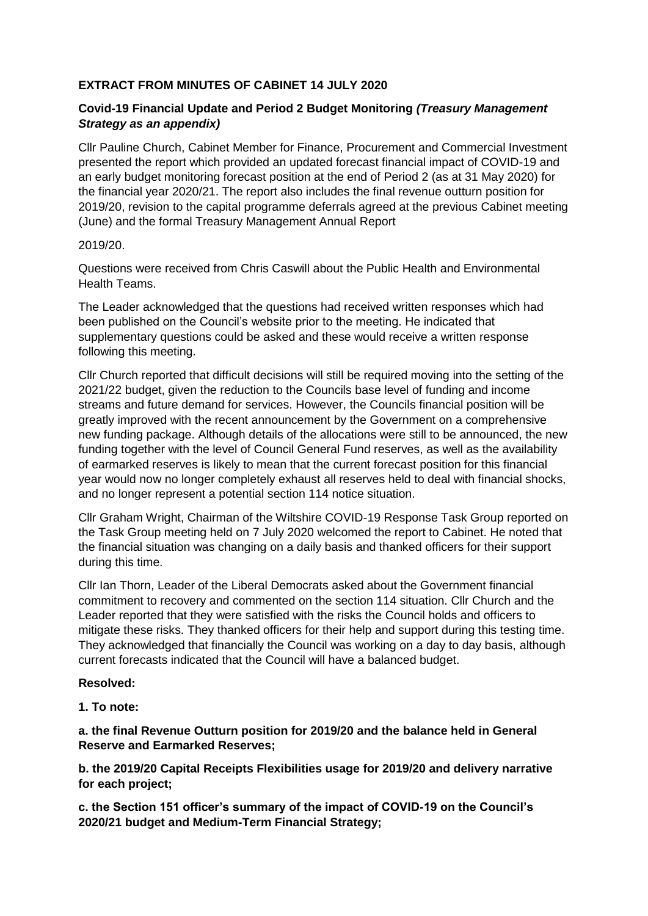## **EXTRACT FROM MINUTES OF CABINET 14 JULY 2020**

# **Covid-19 Financial Update and Period 2 Budget Monitoring** *(Treasury Management Strategy as an appendix)*

Cllr Pauline Church, Cabinet Member for Finance, Procurement and Commercial Investment presented the report which provided an updated forecast financial impact of COVID-19 and an early budget monitoring forecast position at the end of Period 2 (as at 31 May 2020) for the financial year 2020/21. The report also includes the final revenue outturn position for 2019/20, revision to the capital programme deferrals agreed at the previous Cabinet meeting (June) and the formal Treasury Management Annual Report

#### 2019/20.

Questions were received from Chris Caswill about the Public Health and Environmental Health Teams.

The Leader acknowledged that the questions had received written responses which had been published on the Council's website prior to the meeting. He indicated that supplementary questions could be asked and these would receive a written response following this meeting.

Cllr Church reported that difficult decisions will still be required moving into the setting of the 2021/22 budget, given the reduction to the Councils base level of funding and income streams and future demand for services. However, the Councils financial position will be greatly improved with the recent announcement by the Government on a comprehensive new funding package. Although details of the allocations were still to be announced, the new funding together with the level of Council General Fund reserves, as well as the availability of earmarked reserves is likely to mean that the current forecast position for this financial year would now no longer completely exhaust all reserves held to deal with financial shocks, and no longer represent a potential section 114 notice situation.

Cllr Graham Wright, Chairman of the Wiltshire COVID-19 Response Task Group reported on the Task Group meeting held on 7 July 2020 welcomed the report to Cabinet. He noted that the financial situation was changing on a daily basis and thanked officers for their support during this time.

Cllr Ian Thorn, Leader of the Liberal Democrats asked about the Government financial commitment to recovery and commented on the section 114 situation. Cllr Church and the Leader reported that they were satisfied with the risks the Council holds and officers to mitigate these risks. They thanked officers for their help and support during this testing time. They acknowledged that financially the Council was working on a day to day basis, although current forecasts indicated that the Council will have a balanced budget.

## **Resolved:**

## **1. To note:**

**a. the final Revenue Outturn position for 2019/20 and the balance held in General Reserve and Earmarked Reserves;**

**b. the 2019/20 Capital Receipts Flexibilities usage for 2019/20 and delivery narrative for each project;**

**c. the Section 151 officer's summary of the impact of COVID-19 on the Council's 2020/21 budget and Medium-Term Financial Strategy;**